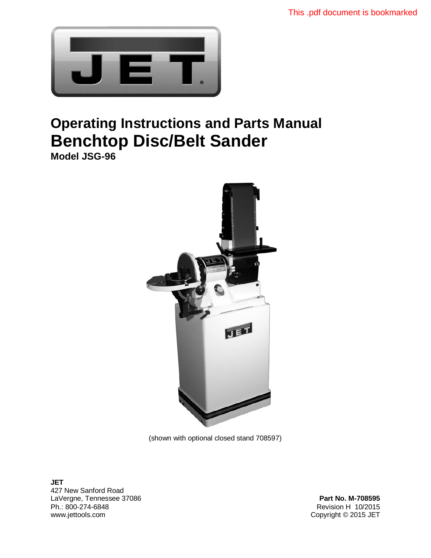

# **Operating Instructions and Parts Manual Benchtop Disc/Belt Sander**

**Model JSG-96** 



(shown with optional closed stand 708597)

**JET**  427 New Sanford Road LaVergne, Tennessee 37086 **Part No. M-708595** Part No. M-708595 Ph.: 800-274-6848 Revision H 10/2015 www.jettools.com **Copyright © 2015 JET**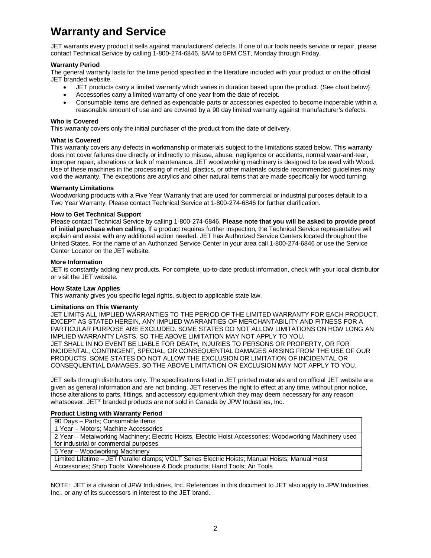# **Warranty and Service**

JET warrants every product it sells against manufacturers' defects. If one of our tools needs service or repair, please contact Technical Service by calling 1-800-274-6846, 8AM to 5PM CST, Monday through Friday.

#### **Warranty Period**

The general warranty lasts for the time period specified in the literature included with your product or on the official JET branded website.

- JET products carry a limited warranty which varies in duration based upon the product. (See chart below)
- Accessories carry a limited warranty of one year from the date of receipt.
- Consumable items are defined as expendable parts or accessories expected to become inoperable within a reasonable amount of use and are covered by a 90 day limited warranty against manufacturer's defects.

#### **Who is Covered**

This warranty covers only the initial purchaser of the product from the date of delivery.

#### **What is Covered**

This warranty covers any defects in workmanship or materials subject to the limitations stated below. This warranty does not cover failures due directly or indirectly to misuse, abuse, negligence or accidents, normal wear-and-tear, improper repair, alterations or lack of maintenance. JET woodworking machinery is designed to be used with Wood. Use of these machines in the processing of metal, plastics, or other materials outside recommended guidelines may void the warranty. The exceptions are acrylics and other natural items that are made specifically for wood turning.

#### **Warranty Limitations**

Woodworking products with a Five Year Warranty that are used for commercial or industrial purposes default to a Two Year Warranty. Please contact Technical Service at 1-800-274-6846 for further clarification.

#### **How to Get Technical Support**

Please contact Technical Service by calling 1-800-274-6846. **Please note that you will be asked to provide proof of initial purchase when calling.** If a product requires further inspection, the Technical Service representative will explain and assist with any additional action needed. JET has Authorized Service Centers located throughout the United States. For the name of an Authorized Service Center in your area call 1-800-274-6846 or use the Service Center Locator on the JET website.

#### **More Information**

JET is constantly adding new products. For complete, up-to-date product information, check with your local distributor or visit the JET website.

#### **How State Law Applies**

This warranty gives you specific legal rights, subject to applicable state law.

#### **Limitations on This Warranty**

JET LIMITS ALL IMPLIED WARRANTIES TO THE PERIOD OF THE LIMITED WARRANTY FOR EACH PRODUCT. EXCEPT AS STATED HEREIN, ANY IMPLIED WARRANTIES OF MERCHANTABILITY AND FITNESS FOR A PARTICULAR PURPOSE ARE EXCLUDED. SOME STATES DO NOT ALLOW LIMITATIONS ON HOW LONG AN IMPLIED WARRANTY LASTS, SO THE ABOVE LIMITATION MAY NOT APPLY TO YOU. JET SHALL IN NO EVENT BE LIABLE FOR DEATH, INJURIES TO PERSONS OR PROPERTY, OR FOR INCIDENTAL, CONTINGENT, SPECIAL, OR CONSEQUENTIAL DAMAGES ARISING FROM THE USE OF OUR PRODUCTS. SOME STATES DO NOT ALLOW THE EXCLUSION OR LIMITATION OF INCIDENTAL OR CONSEQUENTIAL DAMAGES, SO THE ABOVE LIMITATION OR EXCLUSION MAY NOT APPLY TO YOU.

JET sells through distributors only. The specifications listed in JET printed materials and on official JET website are given as general information and are not binding. JET reserves the right to effect at any time, without prior notice, those alterations to parts, fittings, and accessory equipment which they may deem necessary for any reason whatsoever. JET® branded products are not sold in Canada by JPW Industries, Inc.

#### **Product Listing with Warranty Period**

| 90 Days - Parts: Consumable items                                                                        |
|----------------------------------------------------------------------------------------------------------|
| 1 Year - Motors; Machine Accessories                                                                     |
| 2 Year - Metalworking Machinery; Electric Hoists, Electric Hoist Accessories; Woodworking Machinery used |
| for industrial or commercial purposes                                                                    |
| 5 Year - Woodworking Machinery                                                                           |
| Limited Lifetime - JET Parallel clamps; VOLT Series Electric Hoists; Manual Hoists; Manual Hoist         |
| Accessories; Shop Tools; Warehouse & Dock products; Hand Tools; Air Tools                                |

NOTE: JET is a division of JPW Industries, Inc. References in this document to JET also apply to JPW Industries, Inc., or any of its successors in interest to the JET brand.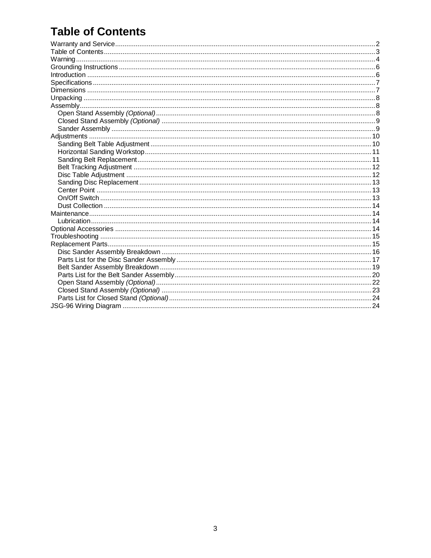# **Table of Contents**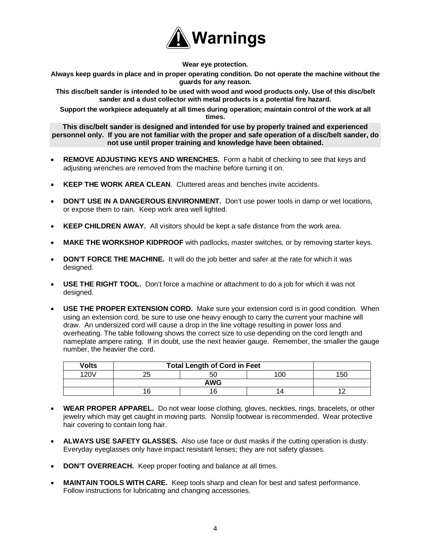

**Wear eye protection.** 

**Always keep guards in place and in proper operating condition. Do not operate the machine without the guards for any reason.** 

**This disc/belt sander is intended to be used with wood and wood products only. Use of this disc/belt sander and a dust collector with metal products is a potential fire hazard.** 

**Support the workpiece adequately at all times during operation; maintain control of the work at all times.** 

**This disc/belt sander is designed and intended for use by properly trained and experienced personnel only. If you are not familiar with the proper and safe operation of a disc/belt sander, do not use until proper training and knowledge have been obtained.** 

- **REMOVE ADJUSTING KEYS AND WRENCHES.** Form a habit of checking to see that keys and adjusting wrenches are removed from the machine before turning it on.
- **KEEP THE WORK AREA CLEAN**. Cluttered areas and benches invite accidents.
- **DON'T USE IN A DANGEROUS ENVIRONMENT.** Don't use power tools in damp or wet locations, or expose them to rain. Keep work area well lighted.
- **KEEP CHILDREN AWAY.** All visitors should be kept a safe distance from the work area.
- **MAKE THE WORKSHOP KIDPROOF** with padlocks, master switches, or by removing starter keys.
- **DON'T FORCE THE MACHINE.** It will do the job better and safer at the rate for which it was designed.
- **USE THE RIGHT TOOL.** Don't force a machine or attachment to do a job for which it was not designed.
- **USE THE PROPER EXTENSION CORD.** Make sure your extension cord is in good condition. When using an extension cord, be sure to use one heavy enough to carry the current your machine will draw. An undersized cord will cause a drop in the line voltage resulting in power loss and overheating. The table following shows the correct size to use depending on the cord length and nameplate ampere rating. If in doubt, use the next heavier gauge. Remember, the smaller the gauge number, the heavier the cord.

| Volts | <b>Total Length of Cord in Feet</b> |    |                 |        |
|-------|-------------------------------------|----|-----------------|--------|
| 120V  | ∼                                   | 50 | 10 <sup>c</sup> | $\sim$ |
|       | <b>AWG</b>                          |    |                 |        |
|       | 16                                  | 16 |                 |        |

- **WEAR PROPER APPAREL.** Do not wear loose clothing, gloves, neckties, rings, bracelets, or other jewelry which may get caught in moving parts. Nonslip footwear is recommended. Wear protective hair covering to contain long hair.
- **ALWAYS USE SAFETY GLASSES.** Also use face or dust masks if the cutting operation is dusty. Everyday eyeglasses only have impact resistant lenses; they are not safety glasses.
- **DON'T OVERREACH.** Keep proper footing and balance at all times.
- **MAINTAIN TOOLS WITH CARE.** Keep tools sharp and clean for best and safest performance. Follow instructions for lubricating and changing accessories.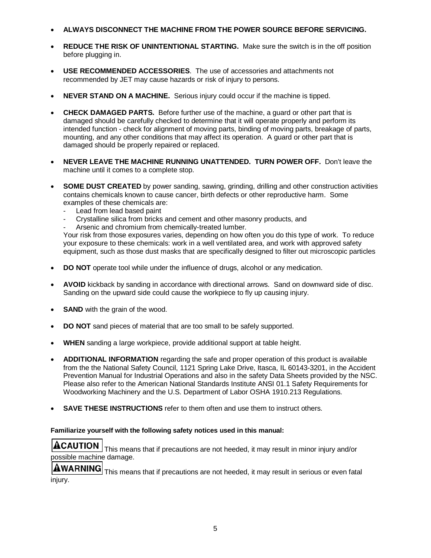- **ALWAYS DISCONNECT THE MACHINE FROM THE POWER SOURCE BEFORE SERVICING.**
- **REDUCE THE RISK OF UNINTENTIONAL STARTING.** Make sure the switch is in the off position before plugging in.
- **USE RECOMMENDED ACCESSORIES**. The use of accessories and attachments not recommended by JET may cause hazards or risk of injury to persons.
- **NEVER STAND ON A MACHINE.** Serious injury could occur if the machine is tipped.
- **CHECK DAMAGED PARTS.** Before further use of the machine, a guard or other part that is damaged should be carefully checked to determine that it will operate properly and perform its intended function - check for alignment of moving parts, binding of moving parts, breakage of parts, mounting, and any other conditions that may affect its operation. A guard or other part that is damaged should be properly repaired or replaced.
- **NEVER LEAVE THE MACHINE RUNNING UNATTENDED. TURN POWER OFF.** Don't leave the machine until it comes to a complete stop.
- **SOME DUST CREATED** by power sanding, sawing, grinding, drilling and other construction activities contains chemicals known to cause cancer, birth defects or other reproductive harm. Some examples of these chemicals are:
	- Lead from lead based paint
	- Crystalline silica from bricks and cement and other masonry products, and
	- Arsenic and chromium from chemically-treated lumber.

Your risk from those exposures varies, depending on how often you do this type of work. To reduce your exposure to these chemicals: work in a well ventilated area, and work with approved safety equipment, such as those dust masks that are specifically designed to filter out microscopic particles

- **DO NOT** operate tool while under the influence of drugs, alcohol or any medication.
- **AVOID** kickback by sanding in accordance with directional arrows. Sand on downward side of disc. Sanding on the upward side could cause the workpiece to fly up causing injury.
- **SAND** with the grain of the wood.
- **DO NOT** sand pieces of material that are too small to be safely supported.
- **WHEN** sanding a large workpiece, provide additional support at table height.
- **ADDITIONAL INFORMATION** regarding the safe and proper operation of this product is available from the the National Safety Council, 1121 Spring Lake Drive, Itasca, IL 60143-3201, in the Accident Prevention Manual for Industrial Operations and also in the safety Data Sheets provided by the NSC. Please also refer to the American National Standards Institute ANSI 01.1 Safety Requirements for Woodworking Machinery and the U.S. Department of Labor OSHA 1910.213 Regulations.
- **SAVE THESE INSTRUCTIONS** refer to them often and use them to instruct others.

#### **Familiarize yourself with the following safety notices used in this manual:**



 This means that if precautions are not heeded, it may result in minor injury and/or possible machine damage.

**AWARNING** This means that if precautions are not heeded, it may result in serious or even fatal injury.

5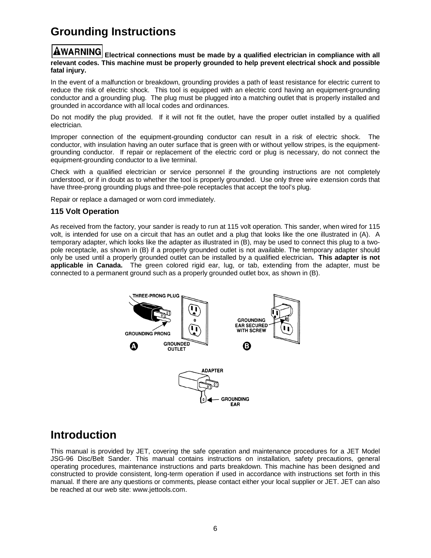# **Grounding Instructions**

#### **WARNING** Electrical connections must be made by a qualified electrician in compliance with all **relevant codes. This machine must be properly grounded to help prevent electrical shock and possible fatal injury.**

In the event of a malfunction or breakdown, grounding provides a path of least resistance for electric current to reduce the risk of electric shock. This tool is equipped with an electric cord having an equipment-grounding conductor and a grounding plug. The plug must be plugged into a matching outlet that is properly installed and grounded in accordance with all local codes and ordinances.

Do not modify the plug provided. If it will not fit the outlet, have the proper outlet installed by a qualified electrician.

Improper connection of the equipment-grounding conductor can result in a risk of electric shock. The conductor, with insulation having an outer surface that is green with or without yellow stripes, is the equipmentgrounding conductor. If repair or replacement of the electric cord or plug is necessary, do not connect the equipment-grounding conductor to a live terminal.

Check with a qualified electrician or service personnel if the grounding instructions are not completely understood, or if in doubt as to whether the tool is properly grounded. Use only three wire extension cords that have three-prong grounding plugs and three-pole receptacles that accept the tool's plug.

Repair or replace a damaged or worn cord immediately.

#### **115 Volt Operation**

As received from the factory, your sander is ready to run at 115 volt operation. This sander, when wired for 115 volt, is intended for use on a circuit that has an outlet and a plug that looks like the one illustrated in (A). A temporary adapter, which looks like the adapter as illustrated in (B), may be used to connect this plug to a twopole receptacle, as shown in (B) if a properly grounded outlet is not available. The temporary adapter should only be used until a properly grounded outlet can be installed by a qualified electrician**. This adapter is not applicable in Canada.** The green colored rigid ear, lug, or tab, extending from the adapter, must be connected to a permanent ground such as a properly grounded outlet box, as shown in (B).



### **Introduction**

This manual is provided by JET, covering the safe operation and maintenance procedures for a JET Model JSG-96 Disc/Belt Sander. This manual contains instructions on installation, safety precautions, general operating procedures, maintenance instructions and parts breakdown. This machine has been designed and constructed to provide consistent, long-term operation if used in accordance with instructions set forth in this manual. If there are any questions or comments, please contact either your local supplier or JET. JET can also be reached at our web site: www.jettools.com.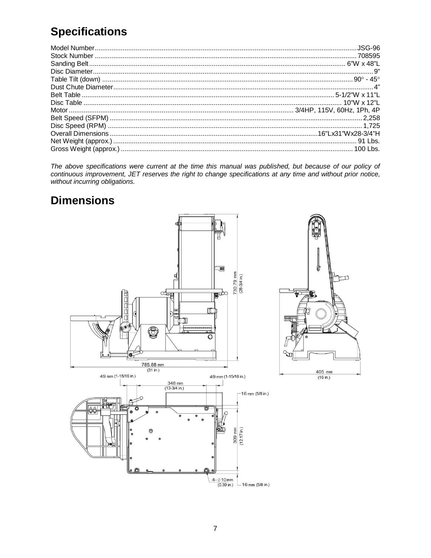# **Specifications**

The above specifications were current at the time this manual was published, but because of our policy of continuous improvement, JET reserves the right to change specifications at any time and without prior notice, without incurring obligations.

# **Dimensions**

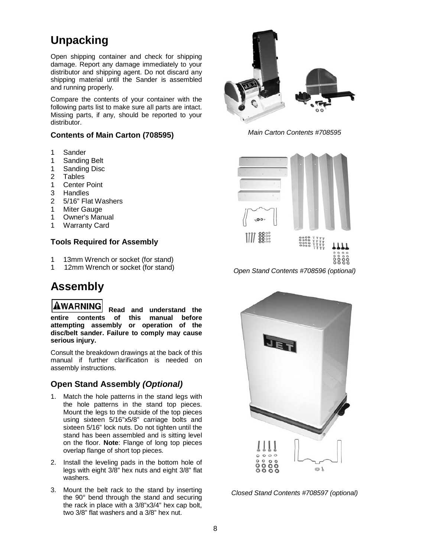# **Unpacking**

Open shipping container and check for shipping damage. Report any damage immediately to your distributor and shipping agent. Do not discard any shipping material until the Sander is assembled and running properly.

Compare the contents of your container with the following parts list to make sure all parts are intact. Missing parts, if any, should be reported to your distributor.

#### **Contents of Main Carton (708595)**

- 1 Sander
- 1 Sanding Belt
- 1 Sanding Disc
- 2 Tables
- 1 Center Point
- 3 Handles
- 2 5/16" Flat Washers
- 1 Miter Gauge
- 1 Owner's Manual
- 1 Warranty Card

#### **Tools Required for Assembly**

- 1 13mm Wrench or socket (for stand)
- 1 12mm Wrench or socket (for stand)

## **Assembly**

**AWARNING Read and understand the entire contents of this manual before attempting assembly or operation of the disc/belt sander. Failure to comply may cause serious injury.** 

Consult the breakdown drawings at the back of this manual if further clarification is needed on assembly instructions.

### **Open Stand Assembly** *(Optional)*

- 1. Match the hole patterns in the stand legs with the hole patterns in the stand top pieces. Mount the legs to the outside of the top pieces using sixteen 5/16"x5/8" carriage bolts and sixteen 5/16" lock nuts. Do not tighten until the stand has been assembled and is sitting level on the floor. **Note**: Flange of long top pieces overlap flange of short top pieces.
- 2. Install the leveling pads in the bottom hole of legs with eight 3/8" hex nuts and eight 3/8" flat washers.
- 3. Mount the belt rack to the stand by inserting the 90° bend through the stand and securing the rack in place with a 3/8"x3/4" hex cap bolt, two 3/8" flat washers and a 3/8" hex nut.



*Main Carton Contents #708595* 



*Open Stand Contents #708596 (optional)* 



*Closed Stand Contents #708597 (optional)*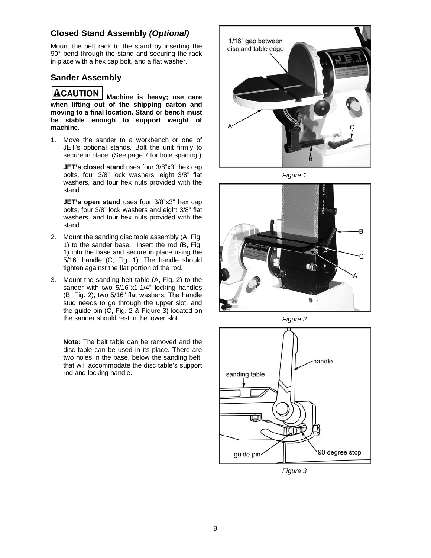### **Closed Stand Assembly** *(Optional)*

Mount the belt rack to the stand by inserting the 90° bend through the stand and securing the rack in place with a hex cap bolt, and a flat washer.

#### **Sander Assembly**

### ACAUTION

**Machine is heavy; use care when lifting out of the shipping carton and moving to a final location. Stand or bench must be stable enough to support weight of machine.**

1. Move the sander to a workbench or one of JET's optional stands. Bolt the unit firmly to secure in place. (See page 7 for hole spacing.)

**JET's closed stand** uses four 3/8"x3" hex cap bolts, four 3/8" lock washers, eight 3/8" flat washers, and four hex nuts provided with the stand.

**JET's open stand** uses four 3/8"x3" hex cap bolts, four 3/8" lock washers and eight 3/8" flat washers, and four hex nuts provided with the stand.

- 2. Mount the sanding disc table assembly (A, Fig. 1) to the sander base. Insert the rod (B, Fig. 1) into the base and secure in place using the 5/16" handle (C, Fig. 1). The handle should tighten against the flat portion of the rod.
- 3. Mount the sanding belt table (A, Fig. 2) to the sander with two 5/16"x1-1/4" locking handles (B, Fig. 2), two 5/16" flat washers. The handle stud needs to go through the upper slot, and the guide pin (C, Fig. 2 & Figure 3) located on the sander should rest in the lower slot.

**Note:** The belt table can be removed and the disc table can be used in its place. There are two holes in the base, below the sanding belt, that will accommodate the disc table's support rod and locking handle.



*Figure 1* 



*Figure 2* 



*Figure 3*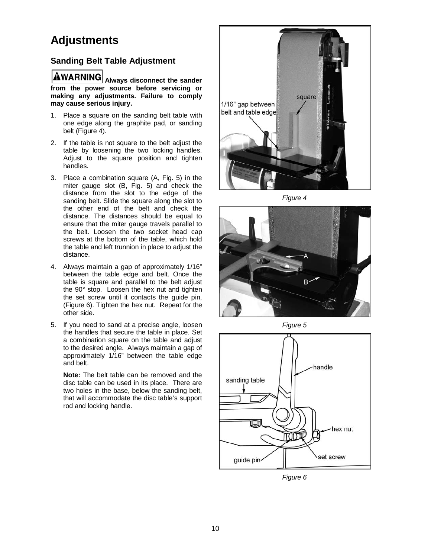### **Adjustments**

### **Sanding Belt Table Adjustment**

**AWARNING** Always disconnect the sander **from the power source before servicing or making any adjustments. Failure to comply may cause serious injury.**

- 1. Place a square on the sanding belt table with one edge along the graphite pad, or sanding belt (Figure 4).
- 2. If the table is not square to the belt adjust the table by loosening the two locking handles. Adjust to the square position and tighten handles.
- 3. Place a combination square (A, Fig. 5) in the miter gauge slot (B, Fig. 5) and check the distance from the slot to the edge of the sanding belt. Slide the square along the slot to the other end of the belt and check the distance. The distances should be equal to ensure that the miter gauge travels parallel to the belt. Loosen the two socket head cap screws at the bottom of the table, which hold the table and left trunnion in place to adjust the distance.
- 4. Always maintain a gap of approximately 1/16" between the table edge and belt. Once the table is square and parallel to the belt adjust the 90° stop. Loosen the hex nut and tighten the set screw until it contacts the guide pin, (Figure 6). Tighten the hex nut. Repeat for the other side.
- 5. If you need to sand at a precise angle, loosen the handles that secure the table in place. Set a combination square on the table and adjust to the desired angle. Always maintain a gap of approximately 1/16" between the table edge and belt.

**Note:** The belt table can be removed and the disc table can be used in its place. There are two holes in the base, below the sanding belt, that will accommodate the disc table's support rod and locking handle.



*Figure 4* 



*Figure 5* 



*Figure 6*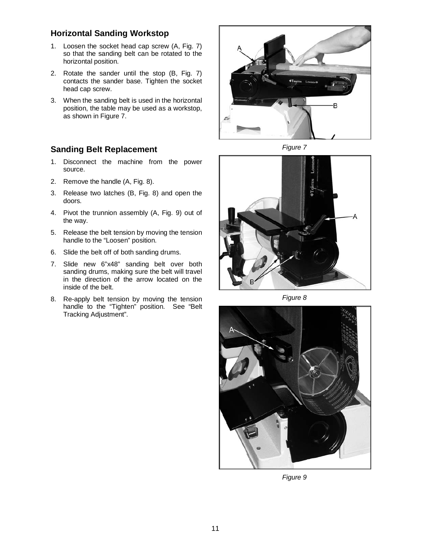### **Horizontal Sanding Workstop**

- 1. Loosen the socket head cap screw (A, Fig. 7) so that the sanding belt can be rotated to the horizontal position.
- 2. Rotate the sander until the stop (B, Fig. 7) contacts the sander base. Tighten the socket head cap screw.
- 3. When the sanding belt is used in the horizontal position, the table may be used as a workstop, as shown in Figure 7.

### **Sanding Belt Replacement**

- 1. Disconnect the machine from the power source.
- 2. Remove the handle (A, Fig. 8).
- 3. Release two latches (B, Fig. 8) and open the doors.
- 4. Pivot the trunnion assembly (A, Fig. 9) out of the way.
- 5. Release the belt tension by moving the tension handle to the "Loosen" position.
- 6. Slide the belt off of both sanding drums.
- 7. Slide new 6"x48" sanding belt over both sanding drums, making sure the belt will travel in the direction of the arrow located on the inside of the belt.
- 8. Re-apply belt tension by moving the tension handle to the "Tighten" position. See "Belt Tracking Adjustment".



*Figure 7* 



*Figure 8* 



*Figure 9*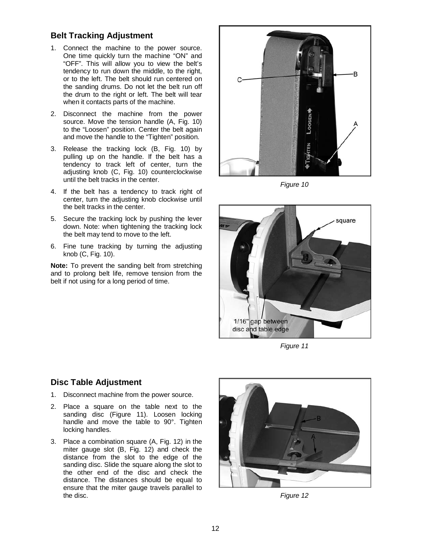#### **Belt Tracking Adjustment**

- 1. Connect the machine to the power source. One time quickly turn the machine "ON" and "OFF". This will allow you to view the belt's tendency to run down the middle, to the right, or to the left. The belt should run centered on the sanding drums. Do not let the belt run off the drum to the right or left. The belt will tear when it contacts parts of the machine.
- 2. Disconnect the machine from the power source. Move the tension handle (A, Fig. 10) to the "Loosen" position. Center the belt again and move the handle to the "Tighten" position.
- 3. Release the tracking lock (B, Fig. 10) by pulling up on the handle. If the belt has a tendency to track left of center, turn the adjusting knob (C, Fig. 10) counterclockwise until the belt tracks in the center.
- 4. If the belt has a tendency to track right of center, turn the adjusting knob clockwise until the belt tracks in the center.
- 5. Secure the tracking lock by pushing the lever down. Note: when tightening the tracking lock the belt may tend to move to the left.
- 6. Fine tune tracking by turning the adjusting knob (C, Fig. 10).

**Note:** To prevent the sanding belt from stretching and to prolong belt life, remove tension from the belt if not using for a long period of time.



*Figure 10* 



*Figure 11* 

### **Disc Table Adjustment**

- 1. Disconnect machine from the power source.
- 2. Place a square on the table next to the sanding disc (Figure 11). Loosen locking handle and move the table to 90°. Tighten locking handles.
- 3. Place a combination square (A, Fig. 12) in the miter gauge slot (B, Fig. 12) and check the distance from the slot to the edge of the sanding disc. Slide the square along the slot to the other end of the disc and check the distance. The distances should be equal to ensure that the miter gauge travels parallel to the disc.



*Figure 12*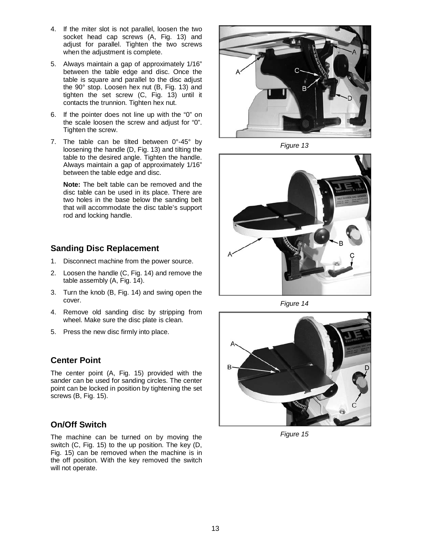- 4. If the miter slot is not parallel, loosen the two socket head cap screws (A, Fig. 13) and adjust for parallel. Tighten the two screws when the adjustment is complete.
- 5. Always maintain a gap of approximately 1/16" between the table edge and disc. Once the table is square and parallel to the disc adjust the 90° stop. Loosen hex nut (B, Fig. 13) and tighten the set screw (C, Fig. 13) until it contacts the trunnion. Tighten hex nut.
- 6. If the pointer does not line up with the "0" on the scale loosen the screw and adjust for "0". Tighten the screw.
- 7. The table can be tilted between 0°-45° by loosening the handle (D, Fig. 13) and tilting the table to the desired angle. Tighten the handle. Always maintain a gap of approximately 1/16" between the table edge and disc.

**Note:** The belt table can be removed and the disc table can be used in its place. There are two holes in the base below the sanding belt that will accommodate the disc table's support rod and locking handle.

### **Sanding Disc Replacement**

- 1. Disconnect machine from the power source.
- 2. Loosen the handle (C, Fig. 14) and remove the table assembly (A, Fig. 14).
- 3. Turn the knob (B, Fig. 14) and swing open the cover.
- 4. Remove old sanding disc by stripping from wheel. Make sure the disc plate is clean.
- 5. Press the new disc firmly into place.

### **Center Point**

The center point (A, Fig. 15) provided with the sander can be used for sanding circles. The center point can be locked in position by tightening the set screws (B, Fig. 15).

### **On/Off Switch**

The machine can be turned on by moving the switch (C, Fig. 15) to the up position. The key (D, Fig. 15) can be removed when the machine is in the off position. With the key removed the switch will not operate.



*Figure 13* 



*Figure 14* 



*Figure 15*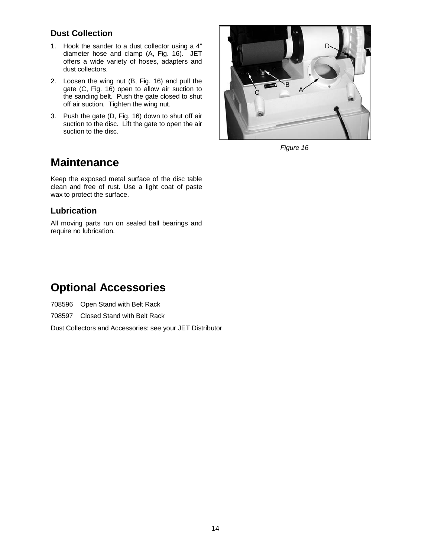### **Dust Collection**

- 1. Hook the sander to a dust collector using a 4" diameter hose and clamp (A, Fig. 16). JET offers a wide variety of hoses, adapters and dust collectors.
- 2. Loosen the wing nut (B, Fig. 16) and pull the gate (C, Fig. 16) open to allow air suction to the sanding belt. Push the gate closed to shut off air suction. Tighten the wing nut.
- 3. Push the gate (D, Fig. 16) down to shut off air suction to the disc. Lift the gate to open the air suction to the disc.



*Figure 16* 

### **Maintenance**

Keep the exposed metal surface of the disc table clean and free of rust. Use a light coat of paste wax to protect the surface.

#### **Lubrication**

All moving parts run on sealed ball bearings and require no lubrication.

## **Optional Accessories**

708596 Open Stand with Belt Rack

708597 Closed Stand with Belt Rack

Dust Collectors and Accessories: see your JET Distributor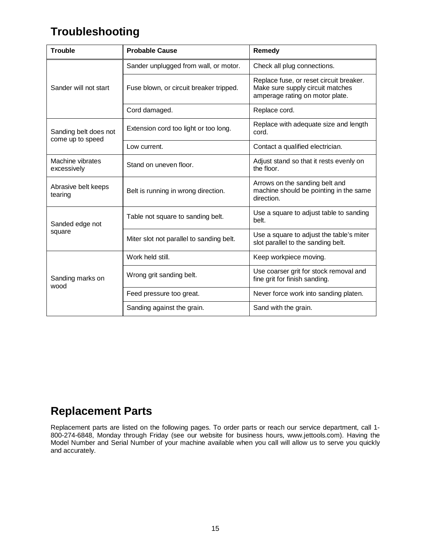# **Troubleshooting**

| <b>Trouble</b>                            | <b>Probable Cause</b>                    | Remedy                                                                                                         |
|-------------------------------------------|------------------------------------------|----------------------------------------------------------------------------------------------------------------|
|                                           | Sander unplugged from wall, or motor.    | Check all plug connections.                                                                                    |
| Sander will not start                     | Fuse blown, or circuit breaker tripped.  | Replace fuse, or reset circuit breaker.<br>Make sure supply circuit matches<br>amperage rating on motor plate. |
|                                           | Cord damaged.                            | Replace cord.                                                                                                  |
| Sanding belt does not<br>come up to speed | Extension cord too light or too long.    | Replace with adequate size and length<br>cord.                                                                 |
|                                           | Low current.                             | Contact a qualified electrician.                                                                               |
| Machine vibrates<br>excessively           | Stand on uneven floor.                   | Adjust stand so that it rests evenly on<br>the floor.                                                          |
| Abrasive belt keeps<br>tearing            | Belt is running in wrong direction.      | Arrows on the sanding belt and<br>machine should be pointing in the same<br>direction.                         |
| Sanded edge not                           | Table not square to sanding belt.        | Use a square to adjust table to sanding<br>belt.                                                               |
| square                                    | Miter slot not parallel to sanding belt. | Use a square to adjust the table's miter<br>slot parallel to the sanding belt.                                 |
|                                           | Work held still.                         | Keep workpiece moving.                                                                                         |
| Sanding marks on<br>wood                  | Wrong grit sanding belt.                 | Use coarser grit for stock removal and<br>fine grit for finish sanding.                                        |
|                                           | Feed pressure too great.                 | Never force work into sanding platen.                                                                          |
|                                           | Sanding against the grain.               | Sand with the grain.                                                                                           |

# **Replacement Parts**

Replacement parts are listed on the following pages. To order parts or reach our service department, call 1- 800-274-6848, Monday through Friday (see our website for business hours, www.jettools.com). Having the Model Number and Serial Number of your machine available when you call will allow us to serve you quickly and accurately.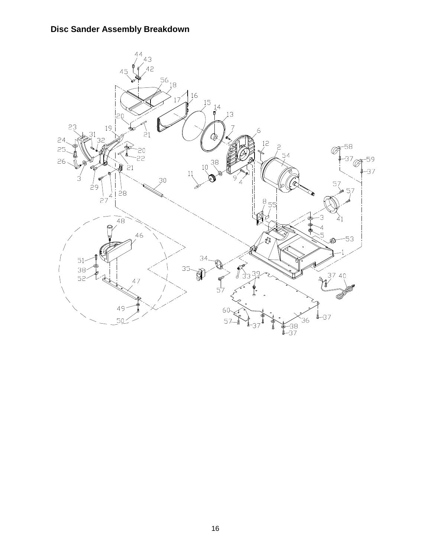### **Disc Sander Assembly Breakdown**

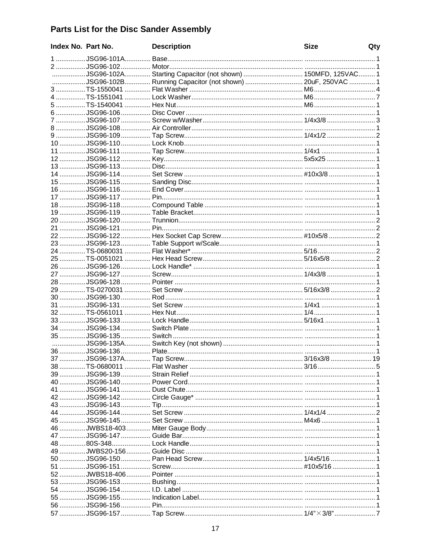## **Parts List for the Disc Sander Assembly**

| Index No. Part No. | <b>Description</b>                                          | <b>Size</b> | Qty |
|--------------------|-------------------------------------------------------------|-------------|-----|
|                    |                                                             |             |     |
|                    |                                                             |             |     |
|                    | JSG96-102A Starting Capacitor (not shown)  150MFD, 125VAC 1 |             |     |
|                    | JSG96-102B Running Capacitor (not shown)  20uF, 250VAC  1   |             |     |
|                    |                                                             |             |     |
|                    |                                                             |             |     |
|                    |                                                             |             |     |
|                    |                                                             |             |     |
|                    |                                                             |             |     |
|                    |                                                             |             |     |
|                    |                                                             |             |     |
|                    |                                                             |             |     |
|                    |                                                             |             |     |
|                    |                                                             |             |     |
|                    |                                                             |             |     |
|                    |                                                             |             |     |
|                    |                                                             |             |     |
|                    |                                                             |             |     |
|                    |                                                             |             |     |
|                    |                                                             |             |     |
|                    |                                                             |             |     |
|                    |                                                             |             |     |
|                    |                                                             |             |     |
|                    |                                                             |             |     |
|                    |                                                             |             |     |
|                    |                                                             |             |     |
|                    |                                                             |             |     |
|                    |                                                             |             |     |
|                    |                                                             |             |     |
|                    |                                                             |             |     |
|                    |                                                             |             |     |
|                    |                                                             |             |     |
|                    |                                                             |             |     |
|                    |                                                             |             |     |
|                    |                                                             |             |     |
|                    |                                                             |             |     |
|                    |                                                             |             |     |
|                    |                                                             |             |     |
|                    |                                                             |             |     |
|                    |                                                             |             |     |
|                    |                                                             |             |     |
|                    |                                                             |             |     |
|                    |                                                             |             |     |
|                    |                                                             |             |     |
|                    |                                                             |             |     |
|                    |                                                             |             |     |
|                    |                                                             |             |     |
|                    |                                                             |             |     |
|                    |                                                             |             |     |
|                    |                                                             |             |     |
|                    |                                                             |             |     |
|                    |                                                             |             |     |
|                    |                                                             |             |     |
|                    |                                                             |             |     |
|                    |                                                             |             |     |
|                    |                                                             |             |     |
|                    |                                                             |             |     |
|                    |                                                             |             |     |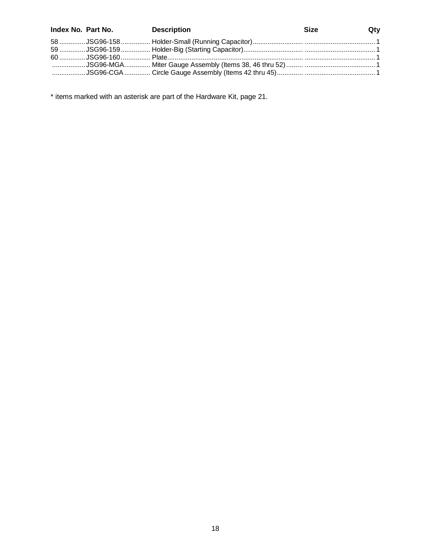| Index No. Part No. Description | <b>Size</b> | $Q$ ty |
|--------------------------------|-------------|--------|
|                                |             |        |
|                                |             |        |
|                                |             |        |
|                                |             |        |
|                                |             |        |

\* items marked with an asterisk are part of the Hardware Kit, page 21.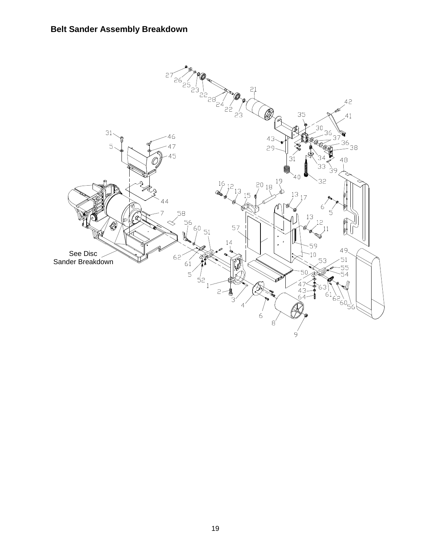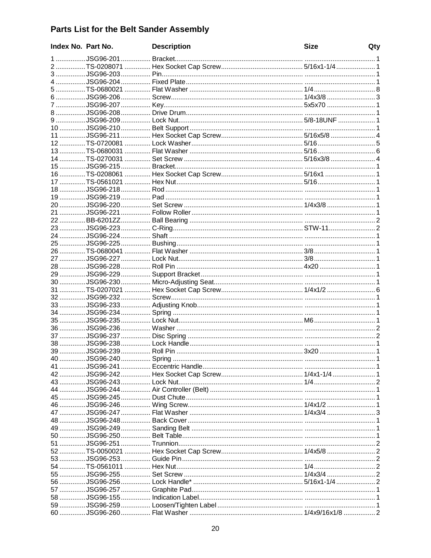### Parts List for the Belt Sander Assembly

| Index No. Part No. | <b>Description</b> | <b>Size</b> | Qty |
|--------------------|--------------------|-------------|-----|
|                    |                    |             |     |
|                    |                    |             |     |
|                    |                    |             |     |
|                    |                    |             |     |
|                    |                    |             |     |
|                    |                    |             |     |
|                    |                    |             |     |
|                    |                    |             |     |
|                    |                    |             |     |
|                    |                    |             |     |
|                    |                    |             |     |
|                    |                    |             |     |
|                    |                    |             |     |
|                    |                    |             |     |
|                    |                    |             |     |
|                    |                    |             |     |
|                    |                    |             |     |
|                    |                    |             |     |
|                    |                    |             |     |
|                    |                    |             |     |
|                    |                    |             |     |
|                    |                    |             |     |
|                    |                    |             |     |
|                    |                    |             |     |
|                    |                    |             |     |
|                    |                    |             |     |
|                    |                    |             |     |
|                    |                    |             |     |
|                    |                    |             |     |
|                    |                    |             |     |
|                    |                    |             |     |
|                    |                    |             |     |
|                    |                    |             |     |
|                    |                    |             |     |
|                    |                    |             |     |
|                    |                    |             |     |
|                    |                    |             |     |
|                    |                    |             |     |
|                    |                    |             |     |
|                    |                    |             |     |
|                    |                    |             |     |
|                    |                    |             |     |
|                    |                    |             |     |
|                    |                    |             |     |
|                    |                    |             |     |
|                    |                    |             |     |
|                    |                    |             |     |
|                    |                    |             |     |
|                    |                    |             |     |
|                    |                    |             |     |
|                    |                    |             |     |
|                    |                    |             |     |
|                    |                    |             |     |
|                    |                    |             |     |
|                    |                    |             |     |
|                    |                    |             |     |
|                    |                    |             |     |
|                    |                    |             |     |
|                    |                    |             |     |
|                    |                    |             |     |
|                    |                    |             |     |
|                    |                    |             |     |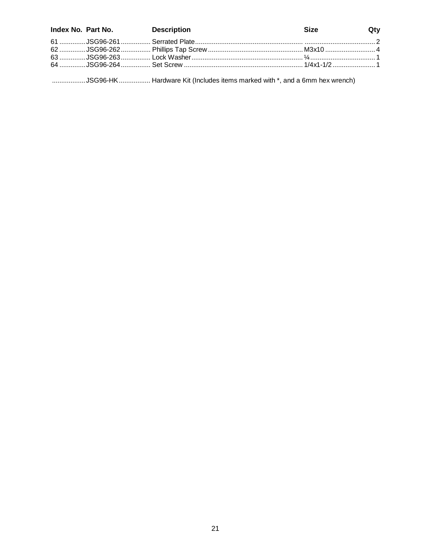|  | Index No. Part No. Description | <b>Size</b> | Qty |
|--|--------------------------------|-------------|-----|
|  |                                |             |     |
|  |                                |             |     |
|  |                                |             |     |
|  |                                |             |     |

..................JSG96-HK................... Hardware Kit (Includes items marked with \*, and a 6mm hex wrench)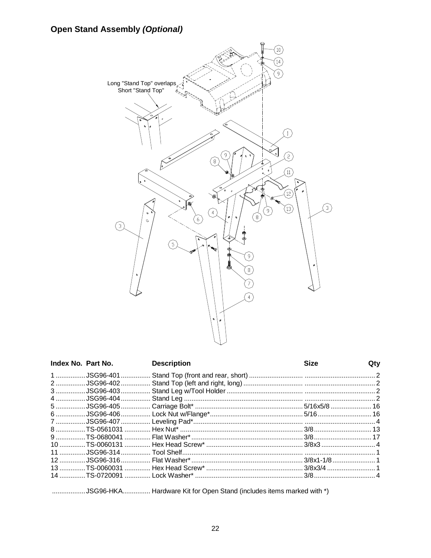### **Open Stand Assembly (Optional)**



| Index No. Part No. | <b>Description</b> | <b>Size</b> | Qty |
|--------------------|--------------------|-------------|-----|
|                    |                    |             |     |
|                    |                    |             |     |
|                    |                    |             |     |
|                    |                    |             |     |
|                    |                    |             |     |
|                    |                    |             |     |
|                    |                    |             |     |
|                    |                    |             |     |
|                    |                    |             |     |
|                    |                    |             |     |
|                    |                    |             |     |
|                    |                    |             |     |
|                    |                    |             |     |
|                    |                    |             |     |
|                    |                    |             |     |

..................JSG96-HKA............... Hardware Kit for Open Stand (includes items marked with \*)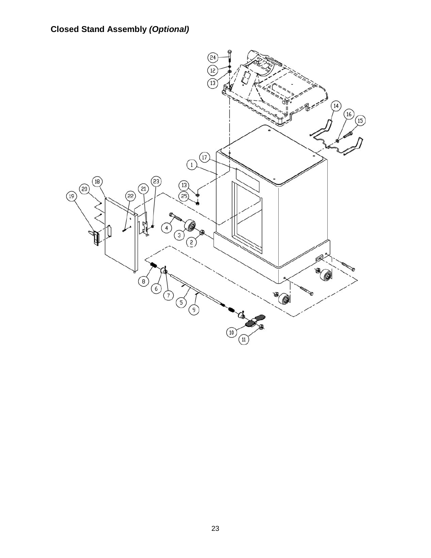